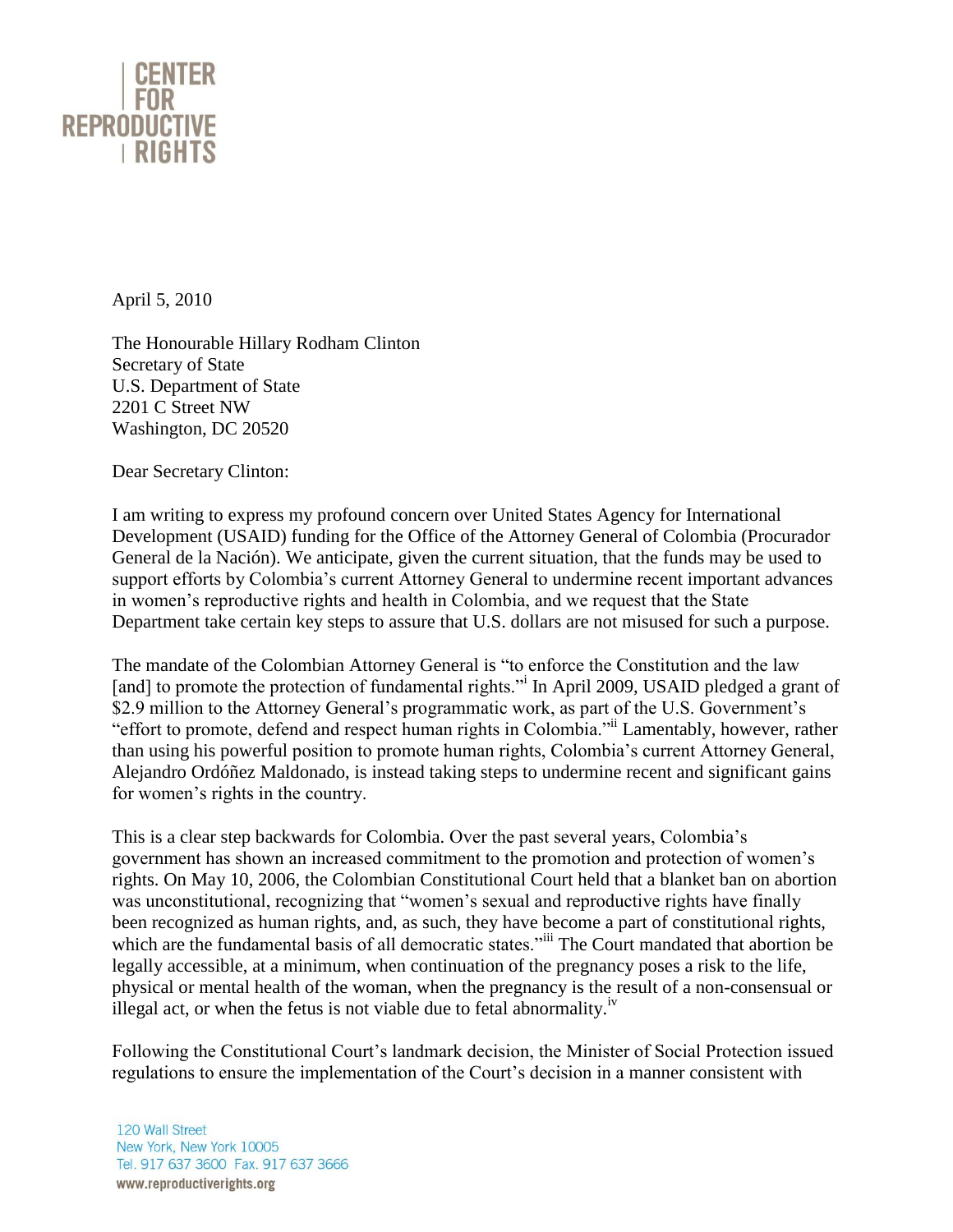

April 5, 2010

The Honourable Hillary Rodham Clinton Secretary of State U.S. Department of State 2201 C Street NW Washington, DC 20520

Dear Secretary Clinton:

I am writing to express my profound concern over United States Agency for International Development (USAID) funding for the Office of the Attorney General of Colombia (Procurador General de la Nación). We anticipate, given the current situation, that the funds may be used to support efforts by Colombia's current Attorney General to undermine recent important advances in women's reproductive rights and health in Colombia, and we request that the State Department take certain key steps to assure that U.S. dollars are not misused for such a purpose.

The mandate of the Colombian Attorney General is "to enforce the Constitution and the law [and] to promote the protection of fundamental rights." In April 2009, USAID pledged a grant of \$2.9 million to the Attorney General's programmatic work, as part of the U.S. Government's "effort to promote, defend and respect human rights in Colombia."ii Lamentably, however, rather than using his powerful position to promote human rights, Colombia's current Attorney General, Alejandro Ordóñez Maldonado, is instead taking steps to undermine recent and significant gains for women's rights in the country.

This is a clear step backwards for Colombia. Over the past several years, Colombia's government has shown an increased commitment to the promotion and protection of women's rights. On May 10, 2006, the Colombian Constitutional Court held that a blanket ban on abortion was unconstitutional, recognizing that "women's sexual and reproductive rights have finally been recognized as human rights, and, as such, they have become a part of constitutional rights, which are the fundamental basis of all democratic states."iii The Court mandated that abortion be legally accessible, at a minimum, when continuation of the pregnancy poses a risk to the life, physical or mental health of the woman, when the pregnancy is the result of a non-consensual or illegal act, or when the fetus is not viable due to fetal abnormality.<sup>iv</sup>

Following the Constitutional Court's landmark decision, the Minister of Social Protection issued regulations to ensure the implementation of the Court's decision in a manner consistent with

120 Wall Street New York, New York 10005 Tel. 917 637 3600 Fax. 917 637 3666 www.reproductiverights.org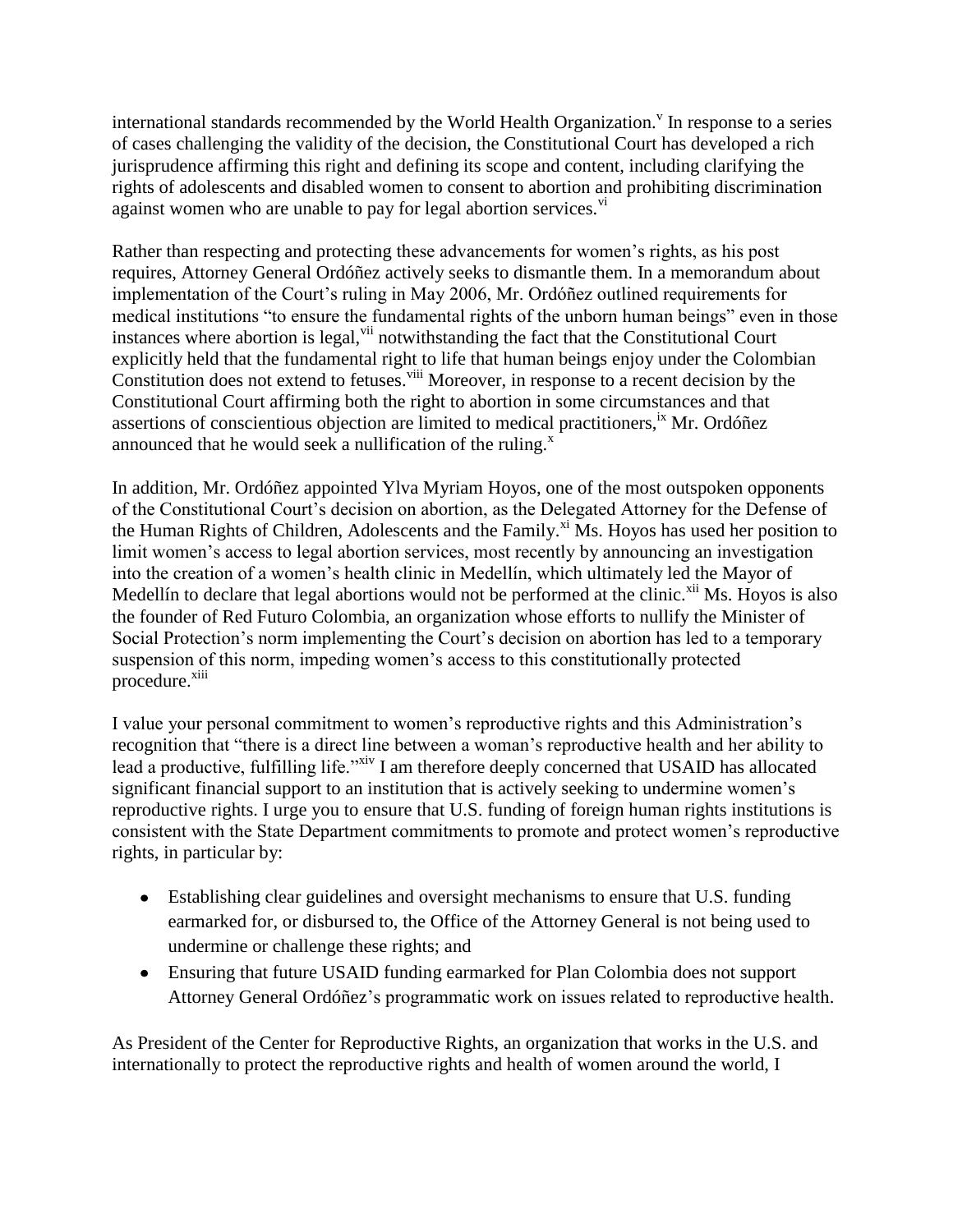international standards recommended by the World Health Organization.<sup>V</sup> In response to a series of cases challenging the validity of the decision, the Constitutional Court has developed a rich jurisprudence affirming this right and defining its scope and content, including clarifying the rights of adolescents and disabled women to consent to abortion and prohibiting discrimination against women who are unable to pay for legal abortion services.<sup>vi</sup>

Rather than respecting and protecting these advancements for women's rights, as his post requires, Attorney General Ordóñez actively seeks to dismantle them. In a memorandum about implementation of the Court's ruling in May 2006, Mr. Ordóñez outlined requirements for medical institutions "to ensure the fundamental rights of the unborn human beings" even in those instances where abortion is legal,  $\frac{v}{u}$  notwithstanding the fact that the Constitutional Court explicitly held that the fundamental right to life that human beings enjoy under the Colombian Constitution does not extend to fetuses.  $\frac{1}{10}$  Moreover, in response to a recent decision by the Constitutional Court affirming both the right to abortion in some circumstances and that assertions of conscientious objection are limited to medical practitioners,<sup>ix</sup> Mr. Ordóñez announced that he would seek a nullification of the ruling. $^x$ 

In addition, Mr. Ordóñez appointed Ylva Myriam Hoyos, one of the most outspoken opponents of the Constitutional Court's decision on abortion, as the Delegated Attorney for the Defense of the Human Rights of Children, Adolescents and the Family.<sup>xi</sup> Ms. Hoyos has used her position to limit women's access to legal abortion services, most recently by announcing an investigation into the creation of a women's health clinic in Medellín, which ultimately led the Mayor of Medellín to declare that legal abortions would not be performed at the clinic. $x^{i}$  Ms. Hoyos is also the founder of Red Futuro Colombia, an organization whose efforts to nullify the Minister of Social Protection's norm implementing the Court's decision on abortion has led to a temporary suspension of this norm, impeding women's access to this constitutionally protected procedure.<sup>xiii</sup>

I value your personal commitment to women's reproductive rights and this Administration's recognition that "there is a direct line between a woman's reproductive health and her ability to lead a productive, fulfilling life."<sup>xiv</sup> I am therefore deeply concerned that USAID has allocated significant financial support to an institution that is actively seeking to undermine women's reproductive rights. I urge you to ensure that U.S. funding of foreign human rights institutions is consistent with the State Department commitments to promote and protect women's reproductive rights, in particular by:

- Establishing clear guidelines and oversight mechanisms to ensure that U.S. funding earmarked for, or disbursed to, the Office of the Attorney General is not being used to undermine or challenge these rights; and
- Ensuring that future USAID funding earmarked for Plan Colombia does not support Attorney General Ordóñez's programmatic work on issues related to reproductive health.

As President of the Center for Reproductive Rights, an organization that works in the U.S. and internationally to protect the reproductive rights and health of women around the world, I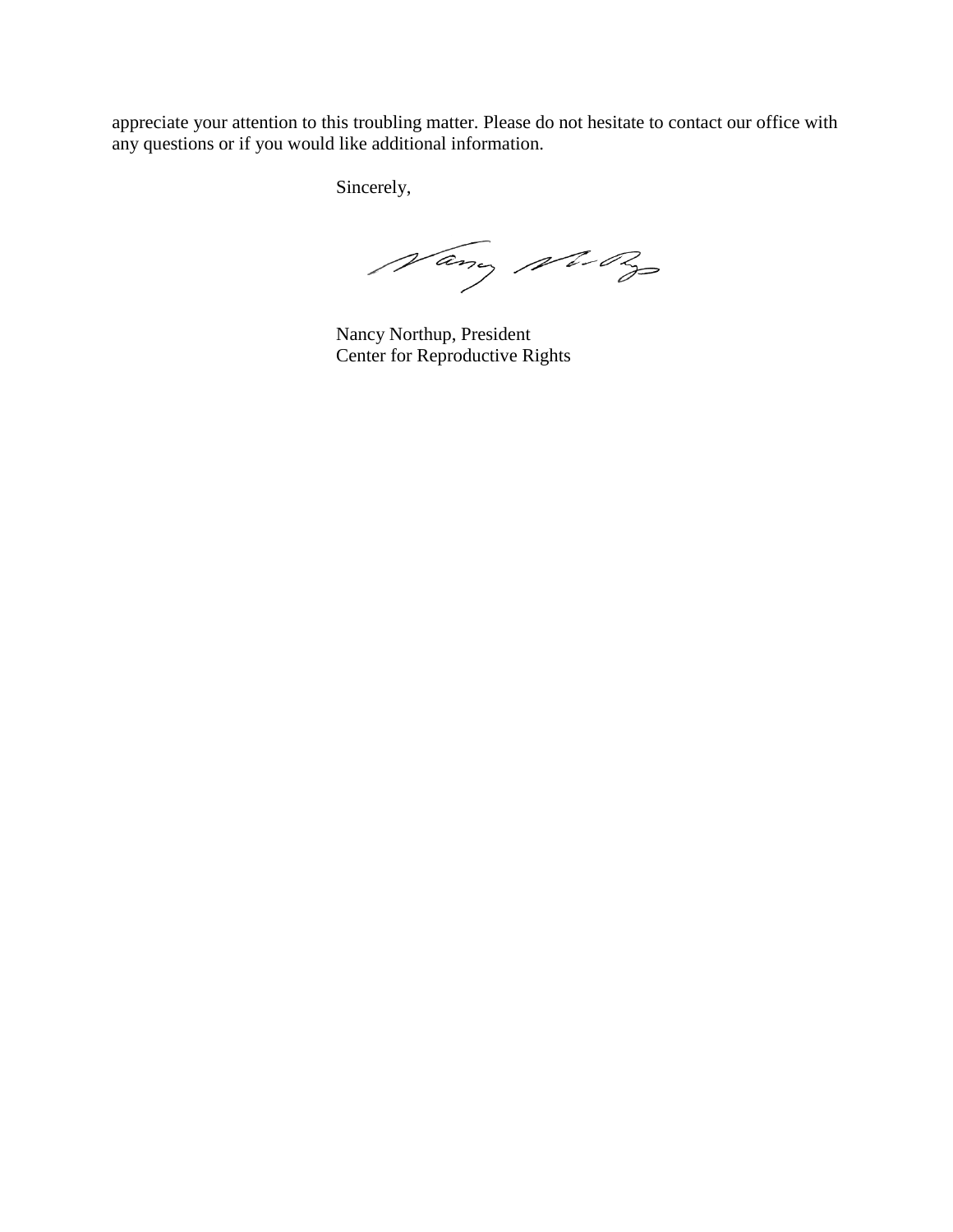appreciate your attention to this troubling matter. Please do not hesitate to contact our office with any questions or if you would like additional information.

Sincerely,

Nany No By

Nancy Northup, President Center for Reproductive Rights